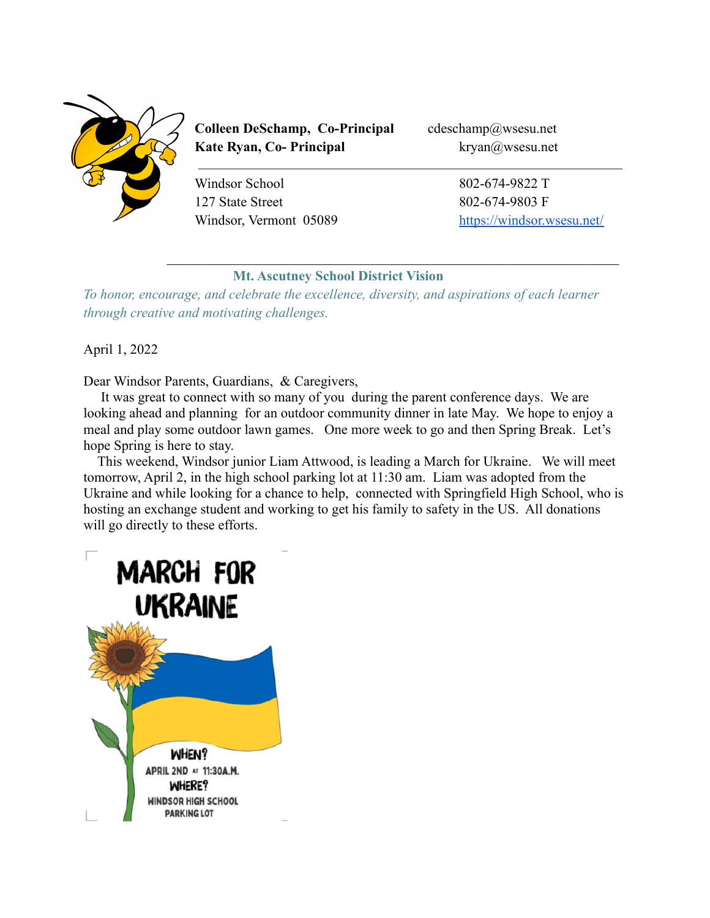

**Colleen DeSchamp, Co-Principal** cdeschamp@wsesu.net **Kate Ryan, Co- Principal** kryan@wsesu.net

Windsor School 802-674-9822 T 127 State Street 802-674-9803 F

Windsor, Vermont 05089 <https://windsor.wsesu.net/>

# **Mt. Ascutney School District Vision**

 $\mathcal{L}_\text{max} = \frac{1}{2} \sum_{i=1}^n \mathcal{L}_\text{max}(\mathbf{z}_i - \mathbf{z}_i)$ 

*To honor, encourage, and celebrate the excellence, diversity, and aspirations of each learner through creative and motivating challenges.*

April 1, 2022

Dear Windsor Parents, Guardians, & Caregivers,

It was great to connect with so many of you during the parent conference days. We are looking ahead and planning for an outdoor community dinner in late May. We hope to enjoy a meal and play some outdoor lawn games. One more week to go and then Spring Break. Let's hope Spring is here to stay.

This weekend, Windsor junior Liam Attwood, is leading a March for Ukraine. We will meet tomorrow, April 2, in the high school parking lot at 11:30 am. Liam was adopted from the Ukraine and while looking for a chance to help, connected with Springfield High School, who is hosting an exchange student and working to get his family to safety in the US. All donations will go directly to these efforts.

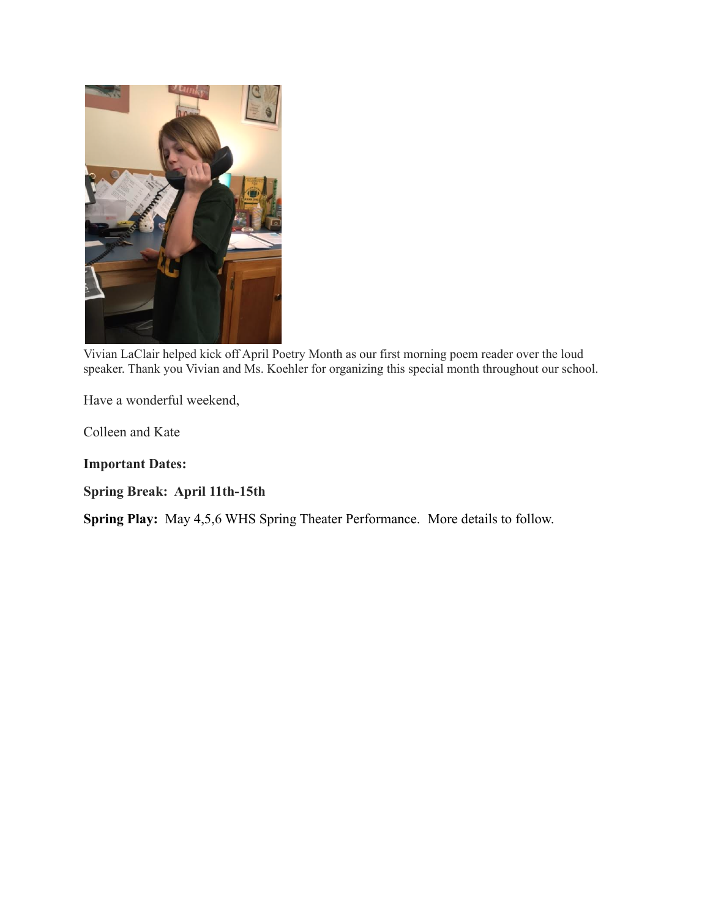

Vivian LaClair helped kick off April Poetry Month as our first morning poem reader over the loud speaker. Thank you Vivian and Ms. Koehler for organizing this special month throughout our school.

Have a wonderful weekend,

Colleen and Kate

**Important Dates:**

**Spring Break: April 11th-15th**

**Spring Play:** May 4,5,6 WHS Spring Theater Performance. More details to follow.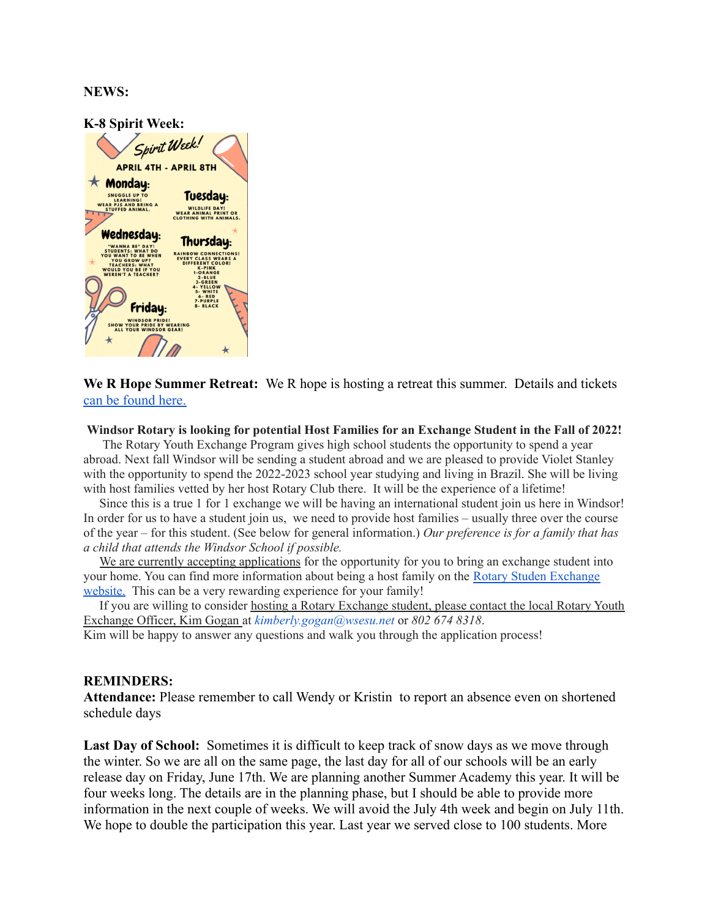### **NEWS:**

| K-8 Spirit Week:                                                                            |                                                                                      |
|---------------------------------------------------------------------------------------------|--------------------------------------------------------------------------------------|
| Spirit Week!                                                                                |                                                                                      |
| <b>APRIL 4TH - APRIL 8TH</b>                                                                |                                                                                      |
| $\star$ Monday:                                                                             |                                                                                      |
| <b>SNUGGLE UP TO</b><br><b>LEARNING!</b><br><b>WEAR PJS AND BRING A</b>                     | Tuesday:                                                                             |
| <b>STUFFED ANIMAL.</b>                                                                      | <b>WILDLIFE DAY!</b><br><b>WEAR ANIMAL PRINT OR</b><br><b>CLOTHING WITH ANIMALS.</b> |
| Wednesday:                                                                                  | Thursday:                                                                            |
| "WANNA BE" DAY!<br><b>STUDENTS: WHAT DO</b><br>YOU WANT TO BE WHEN                          | <b>RAINBOW CONNECTIONS!</b>                                                          |
| YOU GROW UP?<br><b>TEACHERS: WHAT</b><br><b>WOULD YOU BE IF YOU</b>                         | <b>EVERY CLASS WEARS A</b><br>DIFFERENT COLOR!<br><b>K-PINK</b>                      |
| <b>WEREN'T A TEACHER?</b>                                                                   | <b>1-ORANGE</b><br>$2-BLUE$<br><b>3-GREEN</b>                                        |
|                                                                                             | <b>4- YELLOW</b><br>5-WHITE<br>$6 - RED$                                             |
| Friday:                                                                                     | <b>7-PURPLE</b><br><b>8-BLACK</b>                                                    |
| <b>WINDSOR PRIDE!</b><br><b>SHOW YOUR PRIDE BY WEARING</b><br><b>ALL YOUR WINDSOR GEAR!</b> |                                                                                      |
|                                                                                             |                                                                                      |

**We R Hope Summer Retreat:** We R hope is hosting a retreat this summer. Details and tickets [can be found here.](https://www.eventbrite.com/e/upper-valley-youth-wellness-retreat-2022-tickets-237753415867)

#### **Windsor Rotary is looking for potential Host Families for an Exchange Student in the Fall of 2022!**

The Rotary Youth Exchange Program gives high school students the opportunity to spend a year abroad. Next fall Windsor will be sending a student abroad and we are pleased to provide Violet Stanley with the opportunity to spend the 2022-2023 school year studying and living in Brazil. She will be living with host families vetted by her host Rotary Club there. It will be the experience of a lifetime!

Since this is a true 1 for 1 exchange we will be having an international student join us here in Windsor! In order for us to have a student join us, we need to provide host families – usually three over the course of the year – for this student. (See below for general information.) *Our preference is for a family that has a child that attends the Windsor School if possible.*

We are currently accepting applications for the opportunity for you to bring an exchange student into your home. You can find more information about being a host family on the Rotary Studen [Exchange](https://www.exchangestudent.org/host-a-student/) [website.](https://www.exchangestudent.org/host-a-student/) This can be a very rewarding experience for your family!

If you are willing to consider hosting a Rotary Exchange student, please contact the local Rotary Youth Exchange Officer, Kim Gogan at *kimberly.gogan@wsesu.net* or *802 674 8318*.

Kim will be happy to answer any questions and walk you through the application process!

### **REMINDERS:**

**Attendance:** Please remember to call Wendy or Kristin to report an absence even on shortened schedule days

Last Day of School: Sometimes it is difficult to keep track of snow days as we move through the winter. So we are all on the same page, the last day for all of our schools will be an early release day on Friday, June 17th. We are planning another Summer Academy this year. It will be four weeks long. The details are in the planning phase, but I should be able to provide more information in the next couple of weeks. We will avoid the July 4th week and begin on July 11th. We hope to double the participation this year. Last year we served close to 100 students. More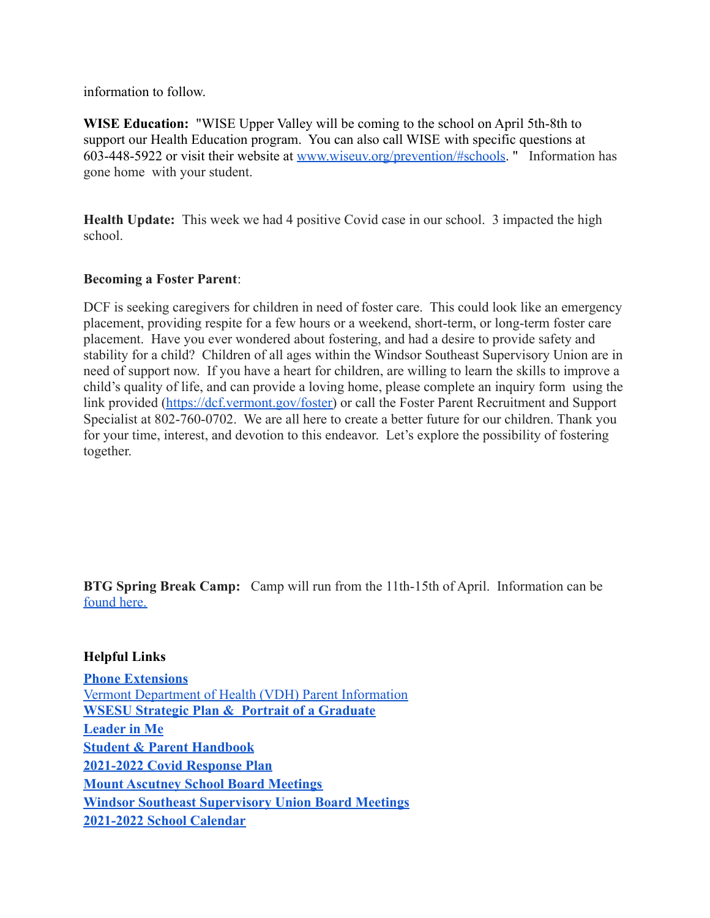information to follow.

**WISE Education:** "WISE Upper Valley will be coming to the school on April 5th-8th to support our Health Education program. You can also call WISE with specific questions at 603-448-5922 or visit their website at [www.wiseuv.org/prevention/#schools](http://www.wiseuv.org/prevention/#schools). " Information has gone home with your student.

**Health Update:** This week we had 4 positive Covid case in our school. 3 impacted the high school.

# **Becoming a Foster Parent**:

DCF is seeking caregivers for children in need of foster care. This could look like an emergency placement, providing respite for a few hours or a weekend, short-term, or long-term foster care placement. Have you ever wondered about fostering, and had a desire to provide safety and stability for a child? Children of all ages within the Windsor Southeast Supervisory Union are in need of support now. If you have a heart for children, are willing to learn the skills to improve a child's quality of life, and can provide a loving home, please complete an inquiry form using the link provided [\(https://dcf.vermont.gov/foster\)](http://track.spe.schoolmessenger.com/f/a/Z641vu6_w45MD8gKwY7X_Q~~/AAAAAQA~/RgRkHyatP0QeaHR0cHM6Ly9kY2YudmVybW9udC5nb3YvZm9zdGVyVwdzY2hvb2xtQgpiPS3zPWLhzXftUg9rcnlhbkB3c2VzdS5uZXRYBAAAAAE~) or call the Foster Parent Recruitment and Support Specialist at 802-760-0702. We are all here to create a better future for our children. Thank you for your time, interest, and devotion to this endeavor. Let's explore the possibility of fostering together.

**BTG Spring Break Camp:** Camp will run from the 11th-15th of April. Information can be [found here.](https://docs.google.com/document/d/1i28_K9MDK-dUwdw67ny4yKP3UTiaWTW8xkda9IUT21c/edit?usp=sharing)

# **Helpful Links**

**[Phone Extensions](https://www.wsesu.net/supervisory-union/directory)** [Vermont Department of Health \(VDH\) Parent Information](https://www.healthvermont.gov/sites/default/files/documents/pdf/CYF_VTBacktoSchoolAfterIllness.pdf) **[WSESU Strategic Plan & Portrait of a Graduate](https://sites.google.com/wsesu.net/curriculum/wsesu-strategic-plan) [Leader in Me](https://www.leaderinme.org/what-is-leader-in-me/) [Student & Parent Handbook](https://docs.google.com/document/d/1FLfGzUC52e_1RBy14a7LfEMQa1H9Jqo0IYbiNUGBQwg/edit) [2021-2022 Covid Response Plan](https://docs.google.com/document/d/1hR487wA9elzPsEu7ew7KxxoVIYg1xdmGSXBX5oOD-VY/edit) [Mount Ascutney School Board Meetings](https://windsor.wsesu.net/information/school-board) [Windsor Southeast Supervisory Union Board Meetings](https://www.wsesu.net/supervisory-union/su-board) [2021-2022 School Calendar](https://resources.finalsite.net/images/v1625584886/wsesunet/ip35gcjbmftrykhjx2ml/FY22WSESUCalendarRevised7121.pdf)**